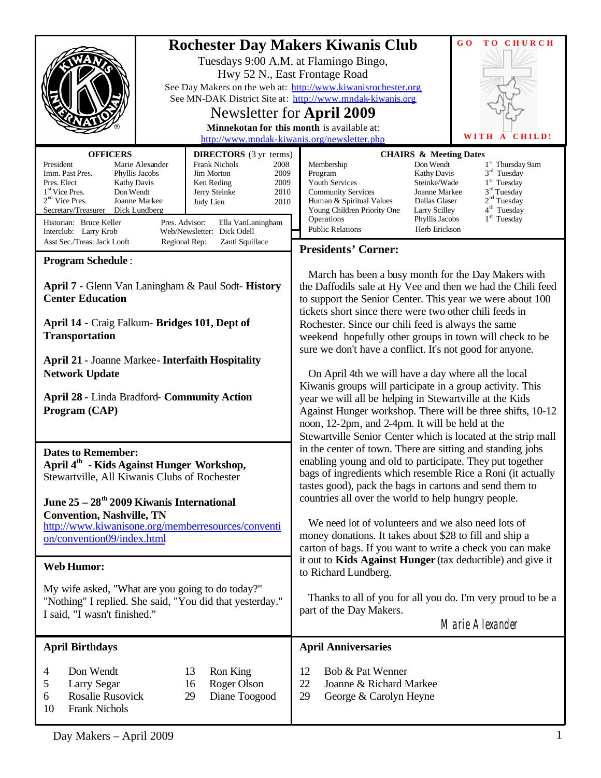|                                                                                                                                                                                                                                                                                                                                                                                                                                                                                                                                              | GO<br>TO CHURCH<br><b>Rochester Day Makers Kiwanis Club</b><br>Tuesdays 9:00 A.M. at Flamingo Bingo,<br>Hwy 52 N., East Frontage Road<br>See Day Makers on the web at: http://www.kiwanisrochester.org<br>See MN-DAK District Site at: http://www.mndak-kiwanis.org<br>Newsletter for April 2009<br>Minnekotan for this month is available at:<br>WITH<br>CHILD!<br>A<br>http://www.mndak-kiwanis.org/newsletter.php                                                                                                                                                                                                                                                                                                                                                                                                                                                                                                                                                                                                                                                                                                                                                                                                                                                              |  |
|----------------------------------------------------------------------------------------------------------------------------------------------------------------------------------------------------------------------------------------------------------------------------------------------------------------------------------------------------------------------------------------------------------------------------------------------------------------------------------------------------------------------------------------------|-----------------------------------------------------------------------------------------------------------------------------------------------------------------------------------------------------------------------------------------------------------------------------------------------------------------------------------------------------------------------------------------------------------------------------------------------------------------------------------------------------------------------------------------------------------------------------------------------------------------------------------------------------------------------------------------------------------------------------------------------------------------------------------------------------------------------------------------------------------------------------------------------------------------------------------------------------------------------------------------------------------------------------------------------------------------------------------------------------------------------------------------------------------------------------------------------------------------------------------------------------------------------------------|--|
| <b>OFFICERS</b><br><b>DIRECTORS</b> (3 yr terms)<br>President<br>Marie Alexander<br><b>Frank Nichols</b><br>2008<br>Imm. Past Pres.<br>Phyllis Jacobs<br><b>Jim Morton</b><br>2009<br>Pres. Elect<br>Ken Reding<br>2009<br><b>Kathy Davis</b><br>Don Wendt<br>1 <sup>st</sup> Vice Pres.<br>Jerry Steinke<br>2010<br>$2nd$ Vice Pres.<br>Joanne Markee<br>Judy Lien<br>2010<br>Secretary/Treasurer<br>Dick Lundberg<br>Historian: Bruce Keller<br>Pres. Advisor:<br>Ella VanLaningham<br>Interclub: Larry Krob<br>Web/Newsletter: Dick Odell | <b>CHAIRS &amp; Meeting Dates</b><br>1 <sup>st</sup> Thursday 9am<br>Don Wendt<br>Membership<br>$3rd$ Tuesday<br>Program<br><b>Kathy Davis</b><br>$1st$ Tuesday<br>Youth Services<br>Steinke/Wade<br>3 <sup>rd</sup> Tuesday<br><b>Community Services</b><br>Joanne Markee<br>2 <sup>nd</sup> Tuesday<br>Human & Spiritual Values<br>Dallas Glaser<br>4 <sup>th</sup> Tuesday<br>Young Children Priority One<br>Larry Scilley<br>1 <sup>st</sup> Tuesday<br>Operations<br>Phyllis Jacobs<br><b>Public Relations</b><br>Herb Erickson                                                                                                                                                                                                                                                                                                                                                                                                                                                                                                                                                                                                                                                                                                                                              |  |
| Asst Sec./Treas: Jack Looft<br>Regional Rep:<br>Zanti Squillace                                                                                                                                                                                                                                                                                                                                                                                                                                                                              | <b>Presidents' Corner:</b>                                                                                                                                                                                                                                                                                                                                                                                                                                                                                                                                                                                                                                                                                                                                                                                                                                                                                                                                                                                                                                                                                                                                                                                                                                                        |  |
| <b>Program Schedule:</b><br>April 7 - Glenn Van Laningham & Paul Sodt-History<br><b>Center Education</b><br>April 14 - Craig Falkum- Bridges 101, Dept of<br><b>Transportation</b><br><b>April 21 - Joanne Markee - Interfaith Hospitality</b><br><b>Network Update</b><br><b>April 28 - Linda Bradford- Community Action</b><br>Program (CAP)                                                                                                                                                                                               | March has been a busy month for the Day Makers with<br>the Daffodils sale at Hy Vee and then we had the Chili feed<br>to support the Senior Center. This year we were about 100<br>tickets short since there were two other chili feeds in<br>Rochester. Since our chili feed is always the same<br>weekend hopefully other groups in town will check to be<br>sure we don't have a conflict. It's not good for anyone.<br>On April 4th we will have a day where all the local<br>Kiwanis groups will participate in a group activity. This<br>year we will all be helping in Stewartville at the Kids<br>Against Hunger workshop. There will be three shifts, 10-12<br>noon, 12-2pm, and 2-4pm. It will be held at the<br>Stewartville Senior Center which is located at the strip mall<br>in the center of town. There are sitting and standing jobs<br>enabling young and old to participate. They put together<br>bags of ingredients which resemble Rice a Roni (it actually<br>tastes good), pack the bags in cartons and send them to<br>countries all over the world to help hungry people.<br>We need lot of volunteers and we also need lots of<br>money donations. It takes about \$28 to fill and ship a<br>carton of bags. If you want to write a check you can make |  |
| <b>Dates to Remember:</b><br>April 4 <sup>th</sup> - Kids Against Hunger Workshop,<br>Stewartville, All Kiwanis Clubs of Rochester<br>June 25 – 28 <sup>th</sup> 2009 Kiwanis International<br><b>Convention, Nashville, TN</b><br>http://www.kiwanisone.org/memberresources/conventi<br>on/convention09/index.html                                                                                                                                                                                                                          |                                                                                                                                                                                                                                                                                                                                                                                                                                                                                                                                                                                                                                                                                                                                                                                                                                                                                                                                                                                                                                                                                                                                                                                                                                                                                   |  |
| <b>Web Humor:</b>                                                                                                                                                                                                                                                                                                                                                                                                                                                                                                                            | it out to Kids Against Hunger (tax deductible) and give it                                                                                                                                                                                                                                                                                                                                                                                                                                                                                                                                                                                                                                                                                                                                                                                                                                                                                                                                                                                                                                                                                                                                                                                                                        |  |
| My wife asked, "What are you going to do today?"<br>"Nothing" I replied. She said, "You did that yesterday."<br>I said, "I wasn't finished."                                                                                                                                                                                                                                                                                                                                                                                                 | to Richard Lundberg.<br>Thanks to all of you for all you do. I'm very proud to be a<br>part of the Day Makers.<br>Marie Alexander                                                                                                                                                                                                                                                                                                                                                                                                                                                                                                                                                                                                                                                                                                                                                                                                                                                                                                                                                                                                                                                                                                                                                 |  |
| <b>April Birthdays</b>                                                                                                                                                                                                                                                                                                                                                                                                                                                                                                                       | <b>April Anniversaries</b>                                                                                                                                                                                                                                                                                                                                                                                                                                                                                                                                                                                                                                                                                                                                                                                                                                                                                                                                                                                                                                                                                                                                                                                                                                                        |  |
| Don Wendt<br>13<br>Ron King<br>4<br>5<br>Larry Segar<br>Roger Olson<br>16<br>Rosalie Rusovick<br>Diane Toogood<br>6<br>29<br><b>Frank Nichols</b><br>10                                                                                                                                                                                                                                                                                                                                                                                      | Bob & Pat Wenner<br>12<br>22<br>Joanne & Richard Markee<br>29<br>George & Carolyn Heyne                                                                                                                                                                                                                                                                                                                                                                                                                                                                                                                                                                                                                                                                                                                                                                                                                                                                                                                                                                                                                                                                                                                                                                                           |  |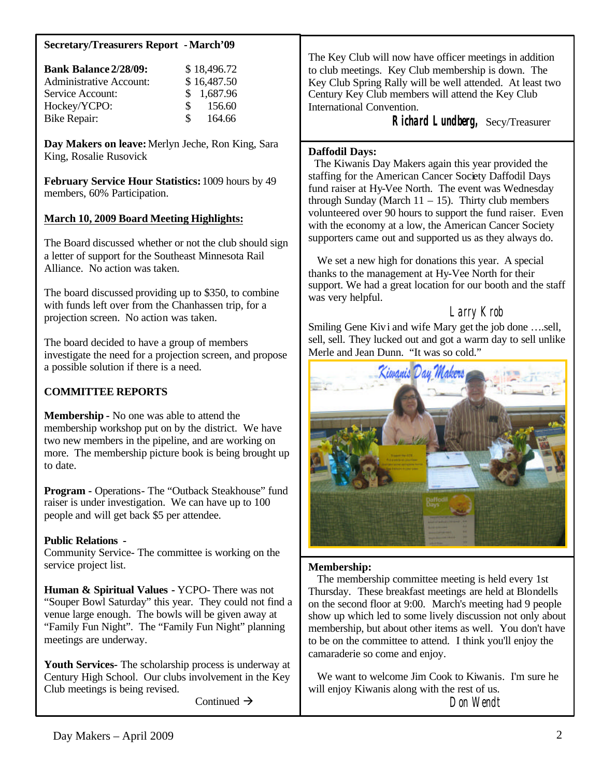#### **Secretary/Treasurers Report -March'09**

| <b>Bank Balance 2/28/09:</b>   |    | \$18,496.72 |
|--------------------------------|----|-------------|
| <b>Administrative Account:</b> |    | \$16,487.50 |
| Service Account:               |    | \$1,687.96  |
| Hockey/YCPO:                   | S. | 156.60      |
| <b>Bike Repair:</b>            | S. | 164.66      |

**Day Makers on leave:** Merlyn Jeche, Ron King, Sara King, Rosalie Rusovick

**February Service Hour Statistics:** 1009 hours by 49 members, 60% Participation.

## **March 10, 2009 Board Meeting Highlights:**

The Board discussed whether or not the club should sign a letter of support for the Southeast Minnesota Rail Alliance. No action was taken.

The board discussed providing up to \$350, to combine with funds left over from the Chanhassen trip, for a projection screen. No action was taken.

The board decided to have a group of members investigate the need for a projection screen, and propose a possible solution if there is a need.

## **COMMITTEE REPORTS**

**Membership -** No one was able to attend the membership workshop put on by the district. We have two new members in the pipeline, and are working on more. The membership picture book is being brought up to date.

**Program -** Operations- The "Outback Steakhouse" fund raiser is under investigation. We can have up to 100 people and will get back \$5 per attendee.

### **Public Relations -**

Community Service- The committee is working on the service project list.

**Human & Spiritual Values -** YCPO- There was not "Souper Bowl Saturday" this year. They could not find a venue large enough. The bowls will be given away at "Family Fun Night". The "Family Fun Night" planning meetings are underway.

**Youth Services-** The scholarship process is underway at Century High School. Our clubs involvement in the Key Club meetings is being revised.

Continued  $\rightarrow$ 

The Key Club will now have officer meetings in addition to club meetings. Key Club membership is down. The Key Club Spring Rally will be well attended. At least two Century Key Club members will attend the Key Club International Convention.

 **Richard Lundberg,** Secy/Treasurer

#### **Daffodil Days:**

 The Kiwanis Day Makers again this year provided the staffing for the American Cancer Society Daffodil Days fund raiser at Hy-Vee North. The event was Wednesday through Sunday (March  $11 - 15$ ). Thirty club members volunteered over 90 hours to support the fund raiser. Even with the economy at a low, the American Cancer Society supporters came out and supported us as they always do.

 We set a new high for donations this year. A special thanks to the management at Hy-Vee North for their support. We had a great location for our booth and the staff was very helpful.

# Larry Krob

Smiling Gene Kivi and wife Mary get the job done ….sell, sell, sell. They lucked out and got a warm day to sell unlike Merle and Jean Dunn. "It was so cold."



### **Membership:**

 The membership committee meeting is held every 1st Thursday. These breakfast meetings are held at Blondells on the second floor at 9:00. March's meeting had 9 people show up which led to some lively discussion not only about membership, but about other items as well. You don't have to be on the committee to attend. I think you'll enjoy the camaraderie so come and enjoy.

 We want to welcome Jim Cook to Kiwanis. I'm sure he will enjoy Kiwanis along with the rest of us. Don Wendt